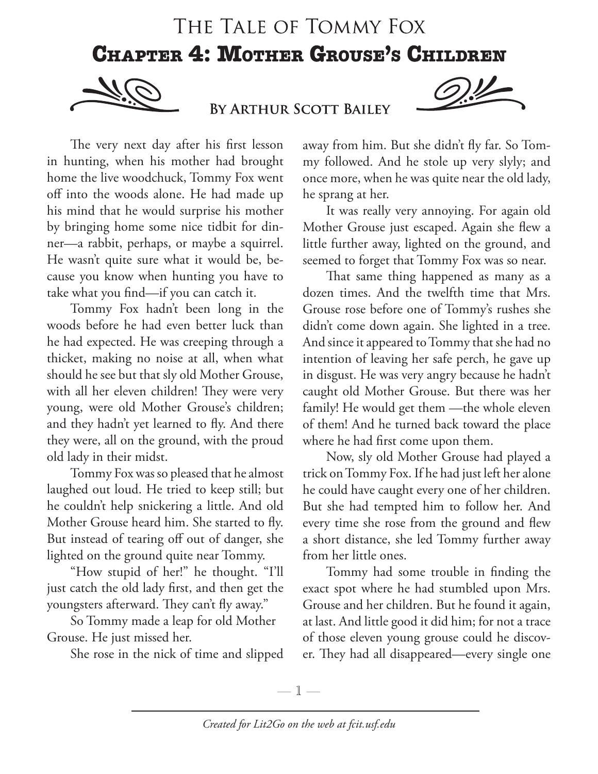## THE TALE OF TOMMY FOX **CHAPTER 4: MOTHER GROUSE'S CHILDREN**



BY ARTHUR SCOTT BAILEY



The very next day after his first lesson in hunting, when his mother had brought home the live woodchuck, Tommy Fox went off into the woods alone. He had made up his mind that he would surprise his mother by bringing home some nice tidbit for dinner—a rabbit, perhaps, or maybe a squirrel. He wasn't quite sure what it would be, because you know when hunting you have to take what you find—if you can catch it.

Tommy Fox hadn't been long in the woods before he had even better luck than he had expected. He was creeping through a thicket, making no noise at all, when what should he see but that sly old Mother Grouse, with all her eleven children! They were very young, were old Mother Grouse's children; and they hadn't yet learned to fly. And there they were, all on the ground, with the proud old lady in their midst.

Tommy Fox was so pleased that he almost laughed out loud. He tried to keep still; but he couldn't help snickering a little. And old Mother Grouse heard him. She started to fly. But instead of tearing off out of danger, she lighted on the ground quite near Tommy.

"How stupid of her!" he thought. "I'll just catch the old lady first, and then get the youngsters afterward. They can't fly away."

So Tommy made a leap for old Mother Grouse. He just missed her.

She rose in the nick of time and slipped

away from him. But she didn't fly far. So Tommy followed. And he stole up very slyly; and once more, when he was quite near the old lady, he sprang at her.

It was really very annoying. For again old Mother Grouse just escaped. Again she flew a little further away, lighted on the ground, and seemed to forget that Tommy Fox was so near.

That same thing happened as many as a dozen times. And the twelfth time that Mrs. Grouse rose before one of Tommy's rushes she didn't come down again. She lighted in a tree. And since it appeared to Tommy that she had no intention of leaving her safe perch, he gave up in disgust. He was very angry because he hadn't caught old Mother Grouse. But there was her family! He would get them —the whole eleven of them! And he turned back toward the place where he had first come upon them.

Now, sly old Mother Grouse had played a trick on Tommy Fox. If he had just left her alone he could have caught every one of her children. But she had tempted him to follow her. And every time she rose from the ground and flew a short distance, she led Tommy further away from her little ones.

Tommy had some trouble in finding the exact spot where he had stumbled upon Mrs. Grouse and her children. But he found it again, at last. And little good it did him; for not a trace of those eleven young grouse could he discover. They had all disappeared—every single one

—  $\mathbb{1}$  —